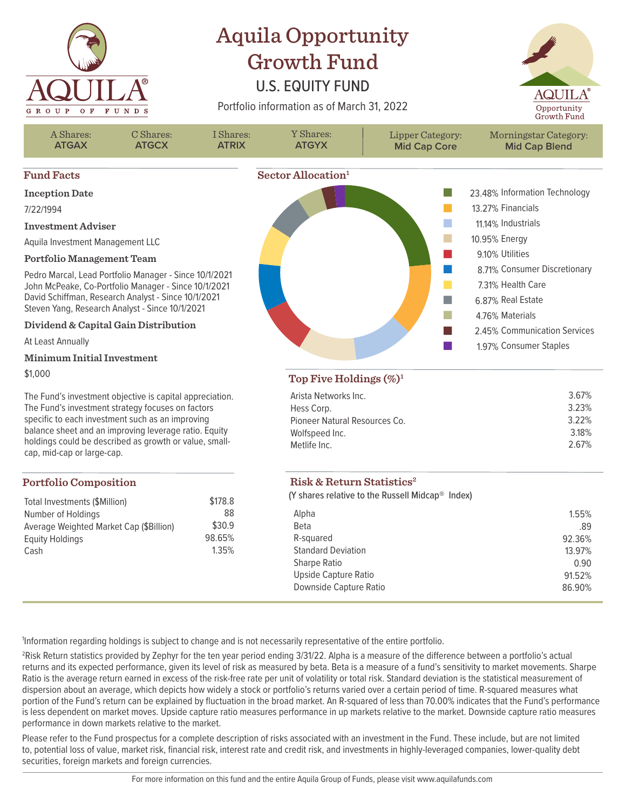

## Aquila Opportunity Growth Fund

## U.S. EQUITY FUND

Portfolio information as of March 31, 2022





2 Risk Return statistics provided by Zephyr for the ten year period ending 3/31/22. Alpha is a measure of the difference between a portfolio's actual returns and its expected performance, given its level of risk as measured by beta. Beta is a measure of a fund's sensitivity to market movements. Sharpe Ratio is the average return earned in excess of the risk-free rate per unit of volatility or total risk. Standard deviation is the statistical measurement of dispersion about an average, which depicts how widely a stock or portfolio's returns varied over a certain period of time. R-squared measures what portion of the Fund's return can be explained by fluctuation in the broad market. An R-squared of less than 70.00% indicates that the Fund's performance is less dependent on market moves. Upside capture ratio measures performance in up markets relative to the market. Downside capture ratio measures performance in down markets relative to the market.

Please refer to the Fund prospectus for a complete description of risks associated with an investment in the Fund. These include, but are not limited to, potential loss of value, market risk, financial risk, interest rate and credit risk, and investments in highly-leveraged companies, lower-quality debt securities, foreign markets and foreign currencies.